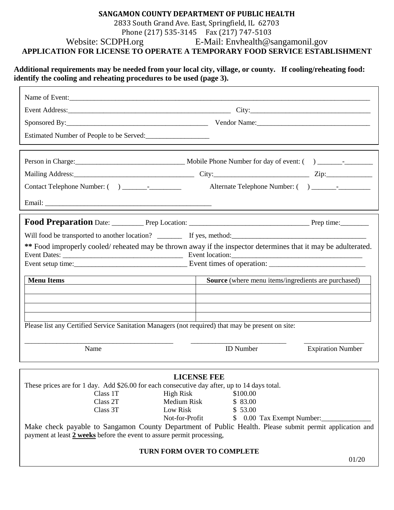## **SANGAMON COUNTY DEPARTMENT OF PUBLIC HEALTH** 2833 South Grand Ave. East, Springfield, IL 62703 Phone (217) 535-3145 Fax (217) 747-5103 Website: SCDPH.org E-Mail: Envhealth@sangamonil.gov

**APPLICATION FOR LICENSE TO OPERATE A TEMPORARY FOOD SERVICE ESTABLISHMENT**

## **Additional requirements may be needed from your local city, village, or county. If cooling/reheating food: identify the cooling and reheating procedures to be used (page 3).**

| Estimated Number of People to be Served:                                                          |                                                                                                               |  |  |
|---------------------------------------------------------------------------------------------------|---------------------------------------------------------------------------------------------------------------|--|--|
|                                                                                                   |                                                                                                               |  |  |
|                                                                                                   |                                                                                                               |  |  |
|                                                                                                   |                                                                                                               |  |  |
|                                                                                                   |                                                                                                               |  |  |
|                                                                                                   |                                                                                                               |  |  |
|                                                                                                   |                                                                                                               |  |  |
|                                                                                                   | Will food be transported to another location? If yes, method:                                                 |  |  |
|                                                                                                   | ** Food improperly cooled/reheated may be thrown away if the inspector determines that it may be adulterated. |  |  |
|                                                                                                   |                                                                                                               |  |  |
|                                                                                                   |                                                                                                               |  |  |
| <b>Menu Items</b>                                                                                 | Source (where menu items/ingredients are purchased)                                                           |  |  |
|                                                                                                   |                                                                                                               |  |  |
|                                                                                                   |                                                                                                               |  |  |
| Please list any Certified Service Sanitation Managers (not required) that may be present on site: |                                                                                                               |  |  |
|                                                                                                   |                                                                                                               |  |  |
| Name                                                                                              | <b>ID</b> Number<br><b>Expiration Number</b>                                                                  |  |  |
|                                                                                                   |                                                                                                               |  |  |
| These prices are for 1 day. Add \$26.00 for each consecutive day after, up to 14 days total.      | <b>LICENSE FEE</b>                                                                                            |  |  |
| Class 1T<br><b>High Risk</b>                                                                      | \$100.00                                                                                                      |  |  |
| Class 2T                                                                                          | <b>Medium Risk</b><br>\$83.00                                                                                 |  |  |
| Low Risk<br>Class 3T                                                                              | \$53.00<br>Not-for-Profit<br>0.00 Tax Exempt Number:<br>\$                                                    |  |  |
| payment at least 2 weeks before the event to assure permit processing,                            | Make check payable to Sangamon County Department of Public Health. Please submit permit application and       |  |  |
| TURN FORM OVER TO COMPLETE                                                                        |                                                                                                               |  |  |
|                                                                                                   | 01/20                                                                                                         |  |  |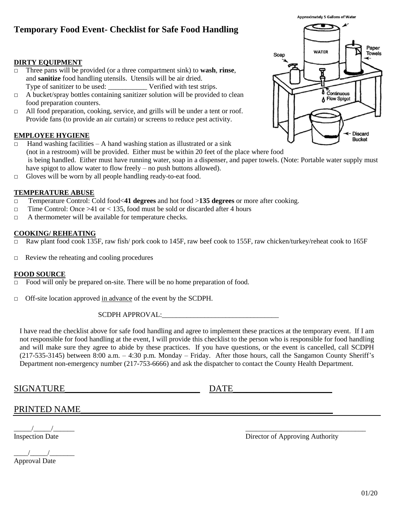# **Temporary Food Event- Checklist for Safe Food Handling**

## **DIRTY EQUIPMENT**

- □ Three pans will be provided (or a three compartment sink) to **wash**, **rinse**, and **sanitize** food handling utensils. Utensils will be air dried. Type of sanitizer to be used: Verified with test strips.
- $\Box$  A bucket/spray bottles containing sanitizer solution will be provided to clean food preparation counters.
- □ All food preparation, cooking, service, and grills will be under a tent or roof. Provide fans (to provide an air curtain) or screens to reduce pest activity.

## **EMPLOYEE HYGIENE**

- $\Box$  Hand washing facilities A hand washing station as illustrated or a sink (not in a restroom) will be provided. Either must be within 20 feet of the place where food is being handled. Either must have running water, soap in a dispenser, and paper towels. (Note: Portable water supply must have spigot to allow water to flow freely – no push buttons allowed).
- $\Box$  Gloves will be worn by all people handling ready-to-eat food.

## **TEMPERATURE ABUSE**

- □ Temperature Control: Cold food<**41 degrees** and hot food >**135 degrees** or more after cooking.
- $\Box$  Time Control: Once >41 or < 135, food must be sold or discarded after 4 hours
- □ A thermometer will be available for temperature checks.

## **COOKING/ REHEATING**

- $\Box$  Raw plant food cook 135F, raw fish/ pork cook to 145F, raw beef cook to 155F, raw chicken/turkey/reheat cook to 165F
- $\Box$  Review the reheating and cooling procedures

## **FOOD SOURCE**

- $\Box$  Food will only be prepared on-site. There will be no home preparation of food.
- □ Off-site location approved in advance of the event by the SCDPH.

### SCDPH APPROVAL:\_\_\_\_\_\_\_\_\_\_\_\_\_\_\_\_\_\_\_\_\_\_\_\_\_\_\_\_\_\_\_\_\_

I have read the checklist above for safe food handling and agree to implement these practices at the temporary event. If I am not responsible for food handling at the event, I will provide this checklist to the person who is responsible for food handling and will make sure they agree to abide by these practices. If you have questions, or the event is cancelled, call SCDPH (217-535-3145) between 8:00 a.m. – 4:30 p.m. Monday – Friday. After those hours, call the Sangamon County Sheriff's Department non-emergency number (217-753-6666) and ask the dispatcher to contact the County Health Department.

SIGNATURE\_\_\_\_\_\_\_\_\_\_\_\_\_\_\_\_\_\_\_\_\_\_\_\_\_\_\_\_\_\_ DATE\_\_\_\_\_\_\_\_\_\_\_\_\_\_\_\_\_\_\_\_\_\_

# <u>PRINTED NAME</u>

| <b>Inspection Date</b> |  |
|------------------------|--|

 $\frac{1}{\sqrt{2\pi}}$ Approval Date



**Approximately 5 Gallons of Water** 

\_\_\_\_\_/\_\_\_\_\_/\_\_\_\_\_\_ \_\_\_\_\_\_\_\_\_\_\_\_\_\_\_\_\_\_\_\_\_\_\_\_\_\_\_\_\_\_\_\_\_\_ Director of Approving Authority